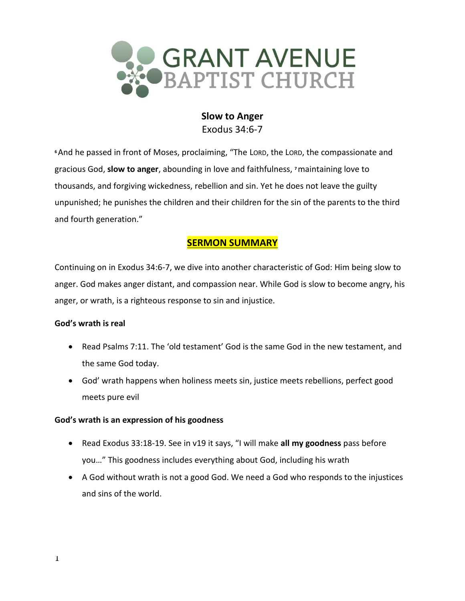

# **Slow to Anger** Exodus 34:6-7

**<sup>6</sup>**And he passed in front of Moses, proclaiming, "The LORD, the LORD, the compassionate and gracious God, **slow to anger**, abounding in love and faithfulness, **<sup>7</sup>**maintaining love to thousands, and forgiving wickedness, rebellion and sin. Yet he does not leave the guilty unpunished; he punishes the children and their children for the sin of the parents to the third and fourth generation."

# **SERMON SUMMARY**

Continuing on in Exodus 34:6-7, we dive into another characteristic of God: Him being slow to anger. God makes anger distant, and compassion near. While God is slow to become angry, his anger, or wrath, is a righteous response to sin and injustice.

# **God's wrath is real**

- Read Psalms 7:11. The 'old testament' God is the same God in the new testament, and the same God today.
- God' wrath happens when holiness meets sin, justice meets rebellions, perfect good meets pure evil

## **God's wrath is an expression of his goodness**

- Read Exodus 33:18-19. See in v19 it says, "I will make **all my goodness** pass before you…" This goodness includes everything about God, including his wrath
- A God without wrath is not a good God. We need a God who responds to the injustices and sins of the world.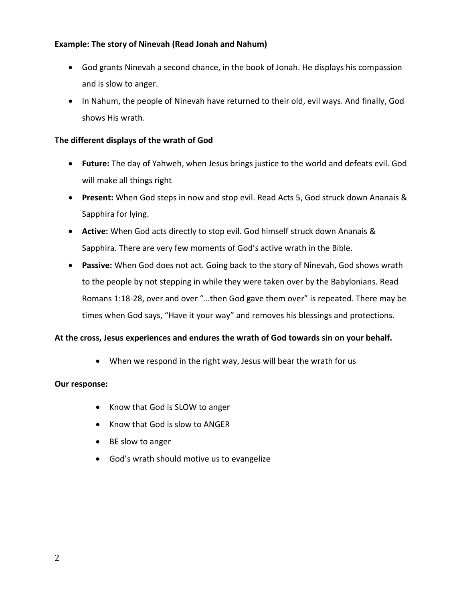## **Example: The story of Ninevah (Read Jonah and Nahum)**

- God grants Ninevah a second chance, in the book of Jonah. He displays his compassion and is slow to anger.
- In Nahum, the people of Ninevah have returned to their old, evil ways. And finally, God shows His wrath.

## **The different displays of the wrath of God**

- **Future:** The day of Yahweh, when Jesus brings justice to the world and defeats evil. God will make all things right
- **Present:** When God steps in now and stop evil. Read Acts 5, God struck down Ananais & Sapphira for lying.
- **Active:** When God acts directly to stop evil. God himself struck down Ananais & Sapphira. There are very few moments of God's active wrath in the Bible.
- **Passive:** When God does not act. Going back to the story of Ninevah, God shows wrath to the people by not stepping in while they were taken over by the Babylonians. Read Romans 1:18-28, over and over "…then God gave them over" is repeated. There may be times when God says, "Have it your way" and removes his blessings and protections.

## **At the cross, Jesus experiences and endures the wrath of God towards sin on your behalf.**

• When we respond in the right way, Jesus will bear the wrath for us

### **Our response:**

- Know that God is SLOW to anger
- Know that God is slow to ANGER
- BE slow to anger
- God's wrath should motive us to evangelize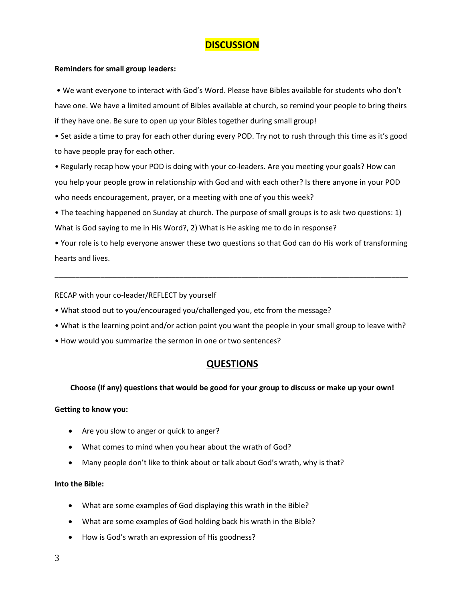# **DISCUSSION**

#### **Reminders for small group leaders:**

• We want everyone to interact with God's Word. Please have Bibles available for students who don't have one. We have a limited amount of Bibles available at church, so remind your people to bring theirs if they have one. Be sure to open up your Bibles together during small group!

• Set aside a time to pray for each other during every POD. Try not to rush through this time as it's good to have people pray for each other.

• Regularly recap how your POD is doing with your co-leaders. Are you meeting your goals? How can you help your people grow in relationship with God and with each other? Is there anyone in your POD who needs encouragement, prayer, or a meeting with one of you this week?

• The teaching happened on Sunday at church. The purpose of small groups is to ask two questions: 1) What is God saying to me in His Word?, 2) What is He asking me to do in response?

• Your role is to help everyone answer these two questions so that God can do His work of transforming hearts and lives.

\_\_\_\_\_\_\_\_\_\_\_\_\_\_\_\_\_\_\_\_\_\_\_\_\_\_\_\_\_\_\_\_\_\_\_\_\_\_\_\_\_\_\_\_\_\_\_\_\_\_\_\_\_\_\_\_\_\_\_\_\_\_\_\_\_\_\_\_\_\_\_\_\_\_\_\_\_\_\_\_\_\_\_\_\_

RECAP with your co-leader/REFLECT by yourself

- What stood out to you/encouraged you/challenged you, etc from the message?
- What is the learning point and/or action point you want the people in your small group to leave with?
- How would you summarize the sermon in one or two sentences?

# **QUESTIONS**

#### **Choose (if any) questions that would be good for your group to discuss or make up your own!**

#### **Getting to know you:**

- Are you slow to anger or quick to anger?
- What comes to mind when you hear about the wrath of God?
- Many people don't like to think about or talk about God's wrath, why is that?

#### **Into the Bible:**

- What are some examples of God displaying this wrath in the Bible?
- What are some examples of God holding back his wrath in the Bible?
- How is God's wrath an expression of His goodness?